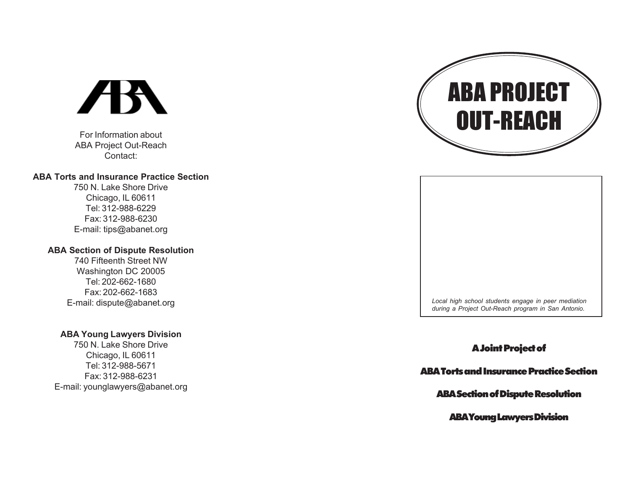# **AR**

For Information about ABA Project Out-Reach Contact:

### **ABA Torts and Insurance Practice Section**

750 N. Lake Shore Drive Chicago, IL 60611 Tel: 312-988-6229 Fax: 312-988-6230 E-mail: tips@abanet.org

### **ABA Section of Dispute Resolution**

740 Fifteenth Street NW Washington DC 20005 Tel: 202-662-1680 Fax: 202-662-1683 E-mail: dispute@abanet.org

### **ABA Young Lawyers Division**

750 N. Lake Shore Drive Chicago, IL 60611 Tel: 312-988-5671 Fax: 312-988-6231 E-mail: younglawyers@abanet.org





### A Joint Project of

### ABA Torts and Insurance Practice Section

### ABA Section of Dispute Resolution

ABA Young Lawyers Division